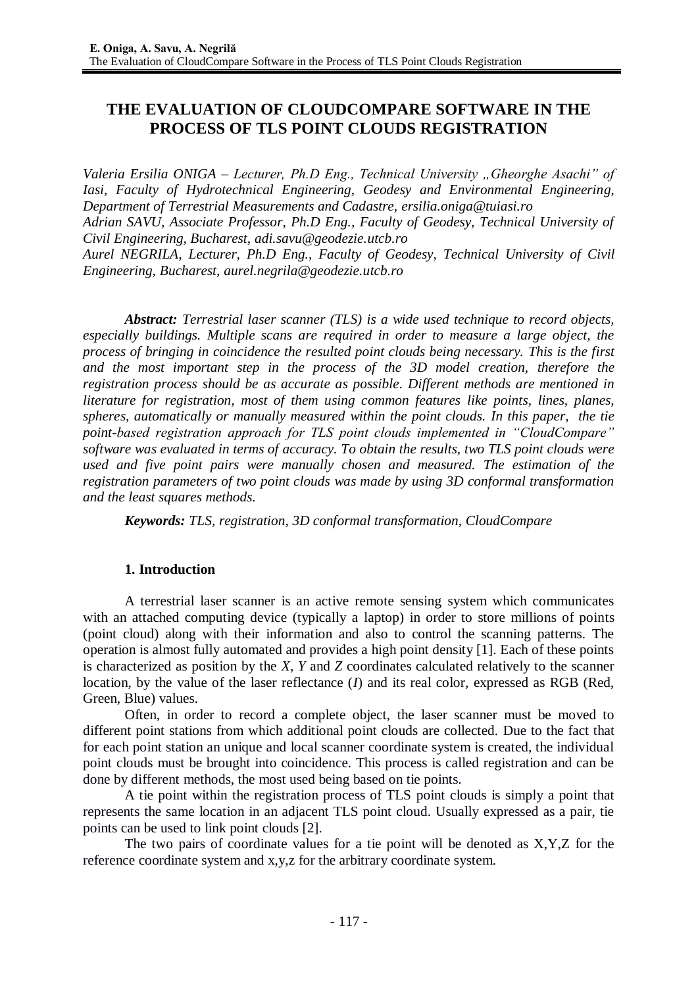# **THE EVALUATION OF CLOUDCOMPARE SOFTWARE IN THE PROCESS OF TLS POINT CLOUDS REGISTRATION**

*Valeria Ersilia ONIGA – Lecturer, Ph.D Eng., Technical University "Gheorghe Asachi" of Iasi, Faculty of Hydrotechnical Engineering, Geodesy and Environmental Engineering, Department of Terrestrial Measurements and Cadastre, [ersilia.oniga@tuiasi.ro](mailto:ersilia.oniga@tuiasi.ro)*

*Adrian SAVU, Associate Professor, Ph.D Eng., Faculty of Geodesy, Technical University of Civil Engineering, Bucharest, [adi.savu@geodezie.utcb.ro](mailto:adi.savu@geodezie.utcb.ro)*

*Aurel NEGRILA, Lecturer, Ph.D Eng., Faculty of Geodesy, Technical University of Civil Engineering, Bucharest, [aurel.negrila@geodezie.utcb.ro](mailto:aurel.negrila@geodezie.utcb.ro)*

*Abstract: Terrestrial laser scanner (TLS) is a wide used technique to record objects, especially buildings. Multiple scans are required in order to measure a large object, the process of bringing in coincidence the resulted point clouds being necessary. This is the first and the most important step in the process of the 3D model creation, therefore the registration process should be as accurate as possible. Different methods are mentioned in literature for registration, most of them using common features like points, lines, planes, spheres, automatically or manually measured within the point clouds. In this paper, the tie point-based registration approach for TLS point clouds implemented in "CloudCompare" software was evaluated in terms of accuracy. To obtain the results, two TLS point clouds were used and five point pairs were manually chosen and measured. The estimation of the registration parameters of two point clouds was made by using 3D conformal transformation and the least squares methods.* 

*Keywords: TLS, registration, 3D conformal transformation, CloudCompare*

## **1. Introduction**

A terrestrial laser scanner is an active remote sensing system which communicates with an attached computing device (typically a laptop) in order to store millions of points (point cloud) along with their information and also to control the scanning patterns. The operation is almost fully automated and provides a high point density [1]. Each of these points is characterized as position by the *X, Y* and *Z* coordinates calculated relatively to the scanner location, by the value of the laser reflectance (*I*) and its real color, expressed as RGB (Red, Green, Blue) values.

Often, in order to record a complete object, the laser scanner must be moved to different point stations from which additional point clouds are collected. Due to the fact that for each point station an unique and local scanner coordinate system is created, the individual point clouds must be brought into coincidence. This process is called registration and can be done by different methods, the most used being based on tie points.

A tie point within the registration process of TLS point clouds is simply a point that represents the same location in an adjacent TLS point cloud. Usually expressed as a pair, tie points can be used to link point clouds [2].

The two pairs of coordinate values for a tie point will be denoted as X,Y,Z for the reference coordinate system and x,y,z for the arbitrary coordinate system.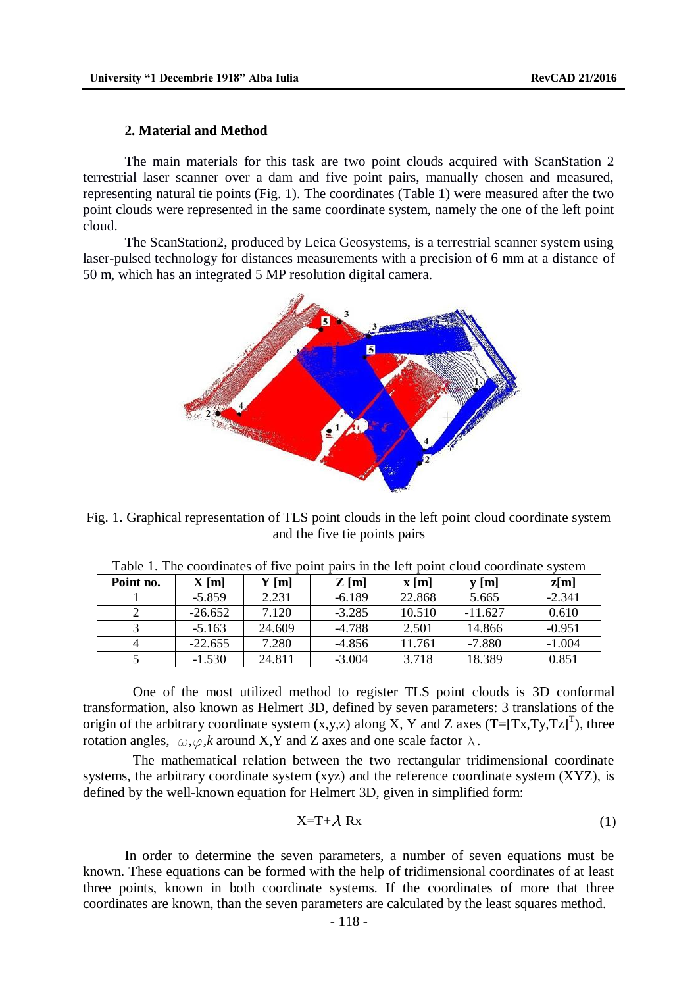#### **2. Material and Method**

The main materials for this task are two point clouds acquired with ScanStation 2 terrestrial laser scanner over a dam and five point pairs, manually chosen and measured, representing natural tie points (Fig. 1). The coordinates (Table 1) were measured after the two point clouds were represented in the same coordinate system, namely the one of the left point cloud.

The ScanStation2, produced by Leica Geosystems, is a terrestrial scanner system using laser-pulsed technology for distances measurements with a precision of 6 mm at a distance of 50 m, which has an integrated 5 MP resolution digital camera.



Fig. 1. Graphical representation of TLS point clouds in the left point cloud coordinate system and the five tie points pairs

| Point no. | X[m]      | Y [m]  | $Z$ [m]  | $\mathbf{x}$ [m] | y [m]     | z[m]     |
|-----------|-----------|--------|----------|------------------|-----------|----------|
|           | $-5.859$  | 2.231  | $-6.189$ | 22.868           | 5.665     | $-2.341$ |
|           | $-26.652$ | 7.120  | $-3.285$ | 10.510           | $-11.627$ | 0.610    |
|           | $-5.163$  | 24.609 | $-4.788$ | 2.501            | 14.866    | $-0.951$ |
|           | $-22.655$ | 7.280  | $-4.856$ | 11.761           | $-7.880$  | $-1.004$ |
|           | $-1.530$  | 24.811 | $-3.004$ | 3.718            | 18.389    | 0.851    |

Table 1. The coordinates of five point pairs in the left point cloud coordinate system

One of the most utilized method to register TLS point clouds is 3D conformal transformation, also known as Helmert 3D, defined by seven parameters: 3 translations of the origin of the arbitrary coordinate system  $(x, y, z)$  along X, Y and Z axes  $(T=[Tx, Ty, Tz]^T)$ , three rotation angles,  $\omega, \varphi, k$  around X,Y and Z axes and one scale factor  $\lambda$ .

The mathematical relation between the two rectangular tridimensional coordinate systems, the arbitrary coordinate system (xyz) and the reference coordinate system (XYZ), is defined by the well-known equation for Helmert 3D, given in simplified form:

$$
X = T + \lambda Rx \tag{1}
$$

In order to determine the seven parameters, a number of seven equations must be known. These equations can be formed with the help of tridimensional coordinates of at least three points, known in both coordinate systems. If the coordinates of more that three coordinates are known, than the seven parameters are calculated by the least squares method.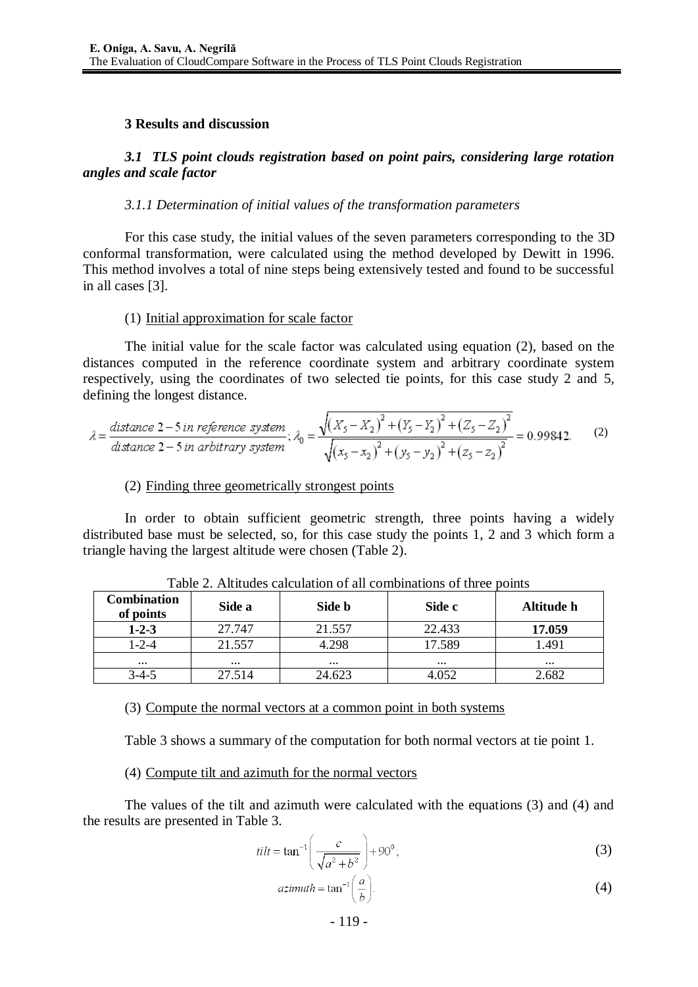#### **3 Results and discussion**

## *3.1 TLS point clouds registration based on point pairs, considering large rotation angles and scale factor*

#### *3.1.1 Determination of initial values of the transformation parameters*

For this case study, the initial values of the seven parameters corresponding to the 3D conformal transformation, were calculated using the method developed by Dewitt in 1996. This method involves a total of nine steps being extensively tested and found to be successful in all cases [3].

#### (1) Initial approximation for scale factor

The initial value for the scale factor was calculated using equation (2), based on the distances computed in the reference coordinate system and arbitrary coordinate system respectively, using the coordinates of two selected tie points, for this case study 2 and 5, defining the longest distance.

$$
\lambda = \frac{\text{distance } 2 - 5 \text{ in reference system}}{\text{distance } 2 - 5 \text{ in arbitrary system}}; \lambda_0 = \frac{\sqrt{(X_5 - X_2)^2 + (Y_5 - Y_2)^2 + (Z_5 - Z_2)^2}}{\sqrt{(x_5 - x_2)^2 + (y_5 - y_2)^2 + (z_5 - z_2)^2}} = 0.99842. \tag{2}
$$

#### (2) Finding three geometrically strongest points

In order to obtain sufficient geometric strength, three points having a widely distributed base must be selected, so, for this case study the points 1, 2 and 3 which form a triangle having the largest altitude were chosen (Table 2).

| <b>Combination</b><br>of points | Side a   | Side b   | Side c   | Altitude h |
|---------------------------------|----------|----------|----------|------------|
| $1 - 2 - 3$                     | 27.747   | 21.557   | 22.433   | 17.059     |
| 1-2-4                           | 21.557   | 4.298    | 17.589   | 1.491      |
| $\cdots$                        | $\cdots$ | $\cdots$ | $\cdots$ | $\cdots$   |
| $3-4-5$                         | 27.514   | 24.623   | .052     | 2.682      |

Table 2. Altitudes calculation of all combinations of three points

(3) Compute the normal vectors at a common point in both systems

Table 3 shows a summary of the computation for both normal vectors at tie point 1.

(4) Compute tilt and azimuth for the normal vectors

The values of the tilt and azimuth were calculated with the equations (3) and (4) and the results are presented in Table 3.

$$
tilt = \tan^{-1}\left(\frac{c}{\sqrt{a^2 + b^2}}\right) + 90^\circ;
$$
 (3)

$$
azimuth = \tan^{-1}\left(\frac{a}{b}\right).
$$
 (4)

- 119 -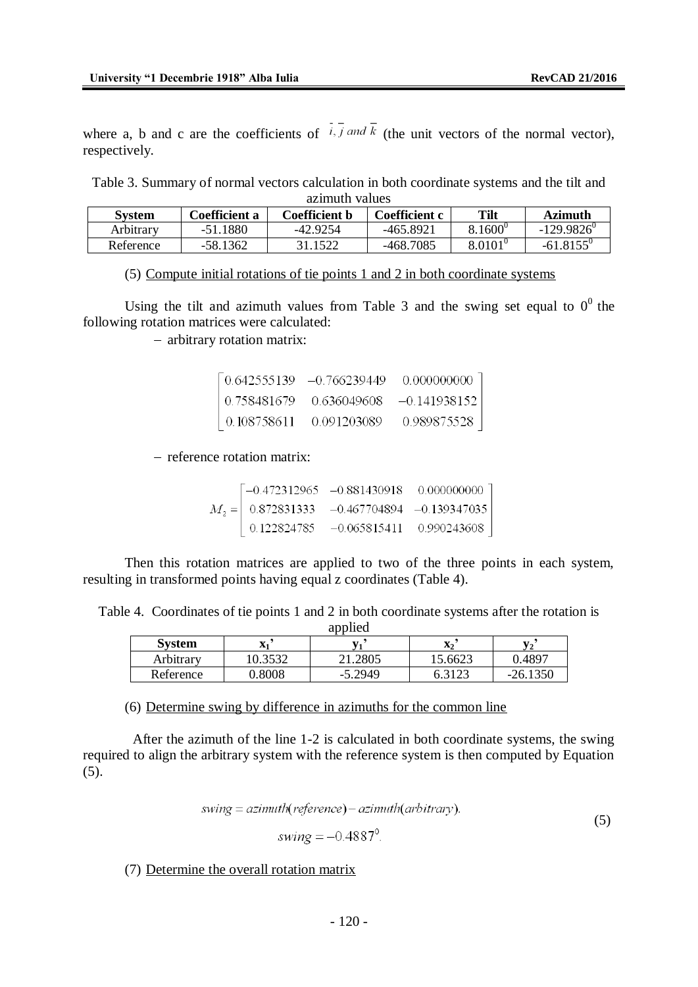where a, b and c are the coefficients of  $\overline{i}$ ,  $\overline{j}$  and  $\overline{k}$  (the unit vectors of the normal vector), respectively.

Table 3. Summary of normal vectors calculation in both coordinate systems and the tilt and azimuth values

| <b>System</b> | <b>Coefficient a</b> | Coefficient b | Coefficient c | <b>Tilt</b>      | <b>Azimuth</b>      |  |
|---------------|----------------------|---------------|---------------|------------------|---------------------|--|
| Arbitrary     | -51.1880             | -42.9254      | -465.8921     | $8.1600^{\circ}$ | $-129.9826^{\circ}$ |  |
| Reference     | $-58.1362$           | 31.1522       | -468.7085     | $8.0101^{\circ}$ | $-61.8155^{\circ}$  |  |

#### (5) Compute initial rotations of tie points 1 and 2 in both coordinate systems

Using the tilt and azimuth values from Table 3 and the swing set equal to  $0^0$  the following rotation matrices were calculated:

- arbitrary rotation matrix:

|                     |             | $\begin{bmatrix} 0.642555139 & -0.766239449 & 0.000000000 \end{bmatrix}$ |
|---------------------|-------------|--------------------------------------------------------------------------|
|                     |             | $\begin{bmatrix} 0.758481679 & 0.636049608 & -0.141938152 \end{bmatrix}$ |
| $\big  0.108758611$ | 0.091203089 | 0.989875528                                                              |

- reference rotation matrix:

|  | $\begin{bmatrix} -0.472312965 & -0.881430918 & 0.000000000 \end{bmatrix}$ |  |
|--|---------------------------------------------------------------------------|--|
|  | $M_2 =   0.872831333 -0.467704894 -0.139347035  $                         |  |
|  | $\begin{bmatrix} 0.122824785 & -0.065815411 & 0.990243608 \end{bmatrix}$  |  |

Then this rotation matrices are applied to two of the three points in each system, resulting in transformed points having equal z coordinates (Table 4).

Table 4. Coordinates of tie points 1 and 2 in both coordinate systems after the rotation is applied

| <b>System</b> | $\overline{\mathbf{x}}$<br>$\Delta$ | $-1$      | X <sub>2</sub> | TT-            |
|---------------|-------------------------------------|-----------|----------------|----------------|
| Arbitrary     | 0.3532                              | 21.2805   | 15.6623        | 0.4897         |
| Reference     | .8008                               | $-5.2949$ |                | .350<br>$-26.$ |

(6) Determine swing by difference in azimuths for the common line

After the azimuth of the line 1-2 is calculated in both coordinate systems, the swing required to align the arbitrary system with the reference system is then computed by Equation  $(5)$ .

$$
swing = azimuth(reference) - azimuth(arbitrary).
$$
\n(5)

$$
swing = -0.4887^{\circ}.
$$

(7) Determine the overall rotation matrix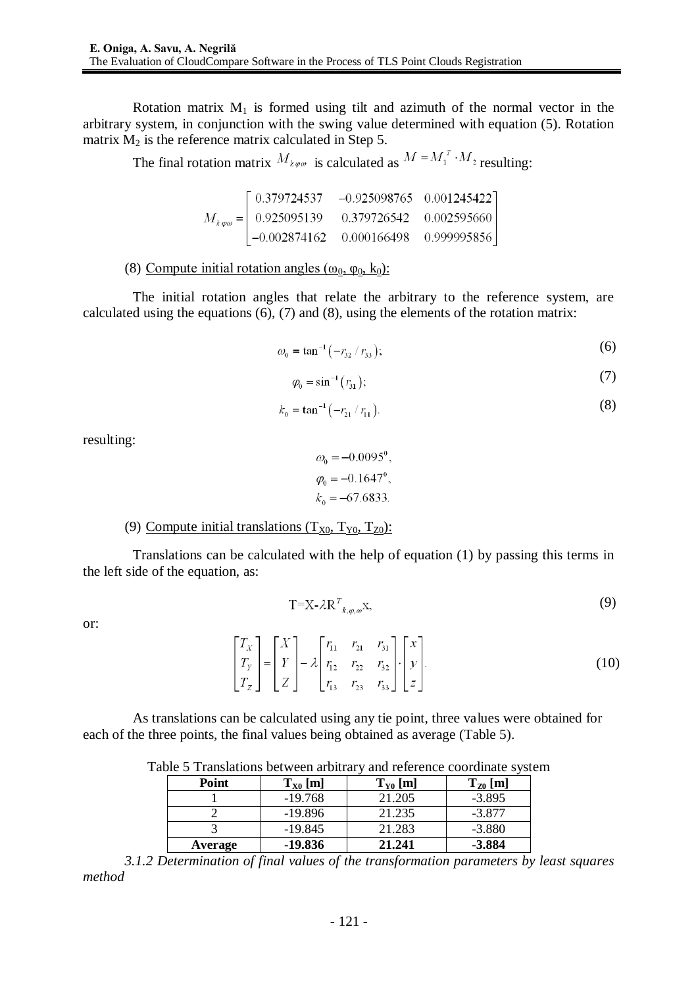Rotation matrix  $M_1$  is formed using tilt and azimuth of the normal vector in the arbitrary system, in conjunction with the swing value determined with equation (5). Rotation matrix  $M_2$  is the reference matrix calculated in Step 5.

The final rotation matrix  $M_{k\varphi\omega}$  is calculated as  $M = M_1^T \cdot M_2$  resulting:

| $\begin{bmatrix} 0.379724537 & -0.925098765 & 0.001245422 \end{bmatrix}$                      |  |
|-----------------------------------------------------------------------------------------------|--|
| $M_{k\varphi\omega} = \begin{array}{ccc} 0.925095139 & 0.379726542 & 0.002595660 \end{array}$ |  |
| $\begin{bmatrix} -0.002874162 & 0.000166498 & 0.999995856 \end{bmatrix}$                      |  |

## (8) Compute initial rotation angles  $(\omega_0, \varphi_0, k_0)$ :

The initial rotation angles that relate the arbitrary to the reference system, are calculated using the equations (6), (7) and (8), using the elements of the rotation matrix:

$$
\omega_0 = \tan^{-1}(-r_{32} / r_{33});\tag{6}
$$

$$
\varphi_0 = \sin^{-1}\left(\frac{r_{31}}{r_{31}}\right);\tag{7}
$$

$$
k_0 = \tan^{-1}(-r_{21}/r_{11}).
$$
\n(8)

resulting:

$$
\omega_0 = -0.0095^\circ,
$$
  
\n
$$
\varphi_0 = -0.1647^\circ,
$$
  
\n
$$
k_0 = -67.6833.
$$

## (9) Compute initial translations  $(T_{X0}, T_{Y0}, T_{Z0})$ :

Translations can be calculated with the help of equation (1) by passing this terms in the left side of the equation, as:

$$
T=X-\lambda R^T_{k,\varphi,\omega}X,\tag{9}
$$

or:

$$
\begin{bmatrix} T_X \\ T_Y \\ T_Z \end{bmatrix} = \begin{bmatrix} X \\ Y \\ Z \end{bmatrix} - \lambda \begin{bmatrix} r_{11} & r_{21} & r_{31} \\ r_{12} & r_{22} & r_{32} \\ r_{13} & r_{23} & r_{33} \end{bmatrix} \cdot \begin{bmatrix} x \\ y \\ z \end{bmatrix}.
$$
 (10)

As translations can be calculated using any tie point, three values were obtained for each of the three points, the final values being obtained as average (Table 5).

Table 5 Translations between arbitrary and reference coordinate system

| <b>Point</b> | $T_{X0}$ [m] | $T_{Y0}$ [m] | $T_{Z0}$ [m] |
|--------------|--------------|--------------|--------------|
|              | $-19.768$    | 21.205       | $-3.895$     |
|              | $-19.896$    | 21.235       | $-3.877$     |
|              | $-19.845$    | 21.283       | $-3.880$     |
| Average      | $-19.836$    | 21.241       | $-3.884$     |

*3.1.2 Determination of final values of the transformation parameters by least squares method*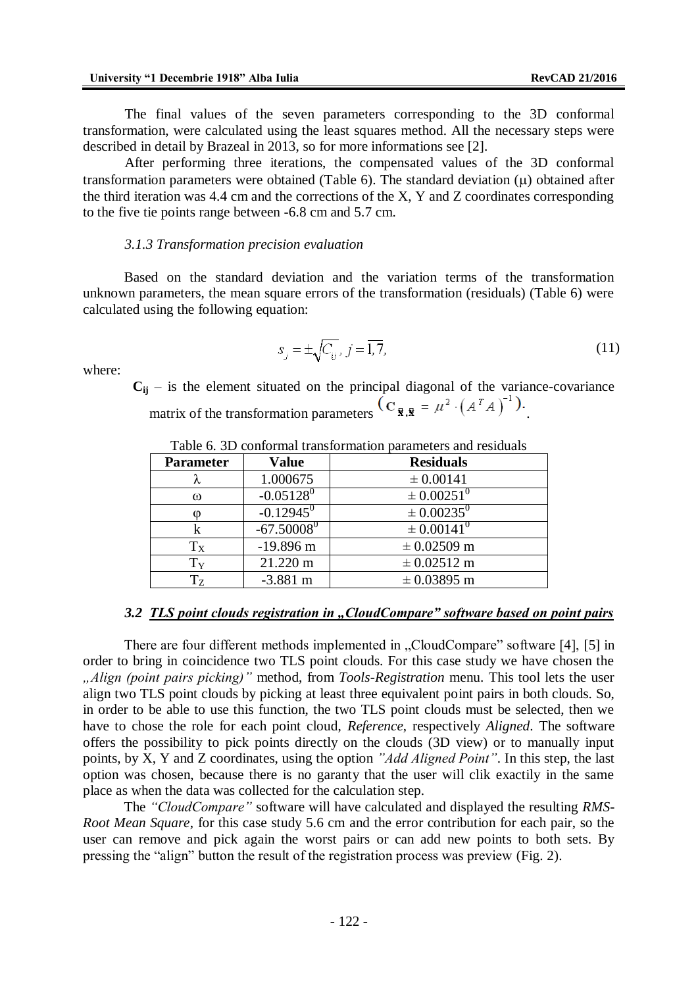The final values of the seven parameters corresponding to the 3D conformal transformation, were calculated using the least squares method. All the necessary steps were described in detail by Brazeal in 2013, so for more informations see [2].

After performing three iterations, the compensated values of the 3D conformal transformation parameters were obtained (Table 6). The standard deviation  $(\mu)$  obtained after the third iteration was 4.4 cm and the corrections of the X, Y and Z coordinates corresponding to the five tie points range between -6.8 cm and 5.7 cm.

#### *3.1.3 Transformation precision evaluation*

Based on the standard deviation and the variation terms of the transformation unknown parameters, the mean square errors of the transformation (residuals) (Table 6) were calculated using the following equation:

$$
s_j = \pm \sqrt{C_{ij}}, j = \overline{1, 7}, \tag{11}
$$

where:

 $C_{ij}$  – is the element situated on the principal diagonal of the variance-covariance matrix of the transformation parameters  $\overline{({\bf C}_{\bar{\bf R},\bar{\bf R}})} = \mu^2 \cdot (A^T A)^{-1}$ .

| <b>Parameter</b> | <b>Value</b>            | <b>Residuals</b>        |
|------------------|-------------------------|-------------------------|
| λ                | 1.000675                | $\pm 0.00141$           |
| $\omega$         | $-0.05128$ <sup>0</sup> | $\pm 0.00251^{0}$       |
| $\omega$         | $-0.12945$ <sup>0</sup> | $\pm 0.00235^0$         |
|                  | $-67.50008^{0}$         | $\pm 0.00141^{0}$       |
| $T_X$            | $-19.896$ m             | $\pm 0.02509$ m         |
| $\rm T_Y$        | 21.220 m                | $\pm 0.02512 \text{ m}$ |
| $T_{Z}$          | $-3.881$ m              | $\pm 0.03895$ m         |

Table 6. 3D conformal transformation parameters and residuals

### *3.2 TLS point clouds registration in "CloudCompare" software based on point pairs*

There are four different methods implemented in "CloudCompare" software [4], [5] in order to bring in coincidence two TLS point clouds. For this case study we have chosen the *"Align (point pairs picking)"* method, from *Tools-Registration* menu. This tool lets the user align two TLS point clouds by picking at least three equivalent point pairs in both clouds. So, in order to be able to use this function, the two TLS point clouds must be selected, then we have to chose the role for each point cloud, *Reference*, respectively *Aligned*. The software offers the possibility to pick points directly on the clouds (3D view) or to manually input points, by X, Y and Z coordinates, using the option *"Add Aligned Point"*. In this step, the last option was chosen, because there is no garanty that the user will clik exactily in the same place as when the data was collected for the calculation step.

The *"CloudCompare"* software will have calculated and displayed the resulting *RMS-Root Mean Square*, for this case study 5.6 cm and the error contribution for each pair, so the user can remove and pick again the worst pairs or can add new points to both sets. By pressing the "align" button the result of the registration process was preview (Fig. 2).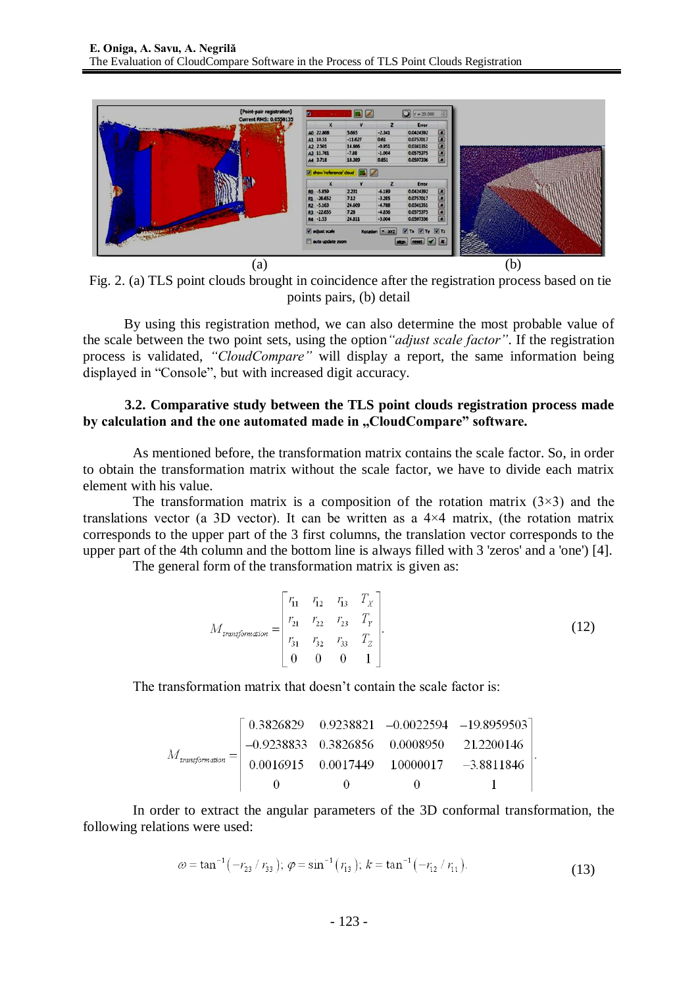

Fig. 2. (a) TLS point clouds brought in coincidence after the registration process based on tie points pairs, (b) detail

By using this registration method, we can also determine the most probable value of the scale between the two point sets, using the option*"adjust scale factor"*. If the registration process is validated, *"CloudCompare"* will display a report, the same information being displayed in "Console", but with increased digit accuracy.

### **3.2. Comparative study between the TLS point clouds registration process made by calculation and the one automated made in "CloudCompare" software.**

As mentioned before, the transformation matrix contains the scale factor. So, in order to obtain the transformation matrix without the scale factor, we have to divide each matrix element with his value.

The transformation matrix is a composition of the rotation matrix  $(3\times3)$  and the translations vector (a 3D vector). It can be written as a  $4\times4$  matrix, (the rotation matrix corresponds to the upper part of the 3 first columns, the translation vector corresponds to the upper part of the 4th column and the bottom line is always filled with 3 'zeros' and a 'one') [4].

The general form of the transformation matrix is given as:

$$
M_{transformation} = \begin{bmatrix} r_{11} & r_{12} & r_{13} & T_X \\ r_{21} & r_{22} & r_{23} & T_Y \\ r_{31} & r_{32} & r_{33} & T_Z \\ 0 & 0 & 0 & 1 \end{bmatrix}.
$$
 (12)

The transformation matrix that doesn't contain the scale factor is:

$$
M_{transformation} = \begin{bmatrix} 0.3826829 & 0.9238821 & -0.0022594 & -19.8959503 \\ -0.9238833 & 0.3826856 & 0.0008950 & 21.2200146 \\ 0.0016915 & 0.0017449 & 10000017 & -3.8811846 \\ 0 & 0 & 0 & 1 \end{bmatrix}
$$

In order to extract the angular parameters of the 3D conformal transformation, the following relations were used:

$$
\omega = \tan^{-1}(-r_{23} / r_{33}); \ \varphi = \sin^{-1}(r_{13}); \ k = \tan^{-1}(-r_{12} / r_{11}). \tag{13}
$$